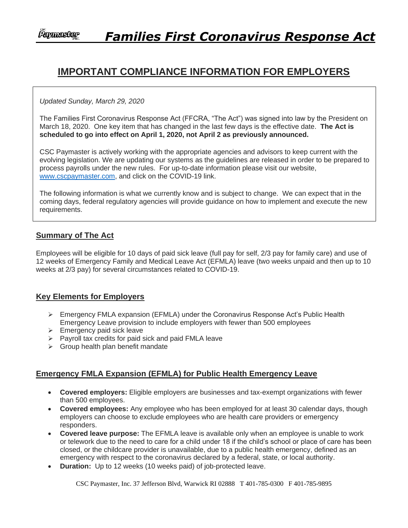

# **IMPORTANT COMPLIANCE INFORMATION FOR EMPLOYERS**

*Updated Sunday, March 29, 2020*

The Families First Coronavirus Response Act (FFCRA, "The Act") was signed into law by the President on March 18, 2020. One key item that has changed in the last few days is the effective date. **The Act is scheduled to go into effect on April 1, 2020, not April 2 as previously announced.**

CSC Paymaster is actively working with the appropriate agencies and advisors to keep current with the evolving legislation. We are updating our systems as the guidelines are released in order to be prepared to process payrolls under the new rules. For up-to-date information please visit our website, [www.cscpaymaster.com,](http://www.cscpaymaster.com/) and click on the COVID-19 link.

The following information is what we currently know and is subject to change. We can expect that in the coming days, federal regulatory agencies will provide guidance on how to implement and execute the new requirements.

### **Summary of The Act**

Employees will be eligible for 10 days of paid sick leave (full pay for self, 2/3 pay for family care) and use of 12 weeks of Emergency Family and Medical Leave Act (EFMLA) leave (two weeks unpaid and then up to 10 weeks at 2/3 pay) for several circumstances related to COVID-19.

# **Key Elements for Employers**

- ➢ Emergency FMLA expansion (EFMLA) under the Coronavirus Response Act's Public Health Emergency Leave provision to include employers with fewer than 500 employees
- ➢ Emergency paid sick leave
- ➢ Payroll tax credits for paid sick and paid FMLA leave
- $\triangleright$  Group health plan benefit mandate

# **Emergency FMLA Expansion (EFMLA) for Public Health Emergency Leave**

- **Covered employers:** Eligible employers are businesses and tax-exempt organizations with fewer than 500 employees.
- **Covered employees:** Any employee who has been employed for at least 30 calendar days, though employers can choose to exclude employees who are health care providers or emergency responders.
- **Covered leave purpose:** The EFMLA leave is available only when an employee is unable to work or telework due to the need to care for a child under 18 if the child's school or place of care has been closed, or the childcare provider is unavailable, due to a public health emergency, defined as an emergency with respect to the coronavirus declared by a federal, state, or local authority.
- **Duration:** Up to 12 weeks (10 weeks paid) of job-protected leave.

CSC Paymaster, Inc. 37 Jefferson Blvd, Warwick RI 02888 T 401-785-0300 F 401-785-9895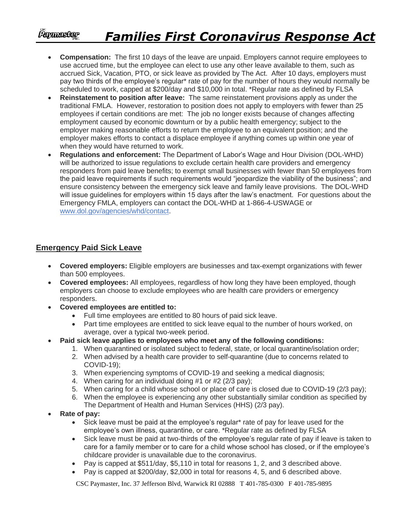#### Paymaster  *Families First Coronavirus Response Act*

- **Compensation:** The first 10 days of the leave are unpaid. Employers cannot require employees to use accrued time, but the employee can elect to use any other leave available to them, such as accrued Sick, Vacation, PTO, or sick leave as provided by The Act. After 10 days, employers must pay two thirds of the employee's regular\* rate of pay for the number of hours they would normally be scheduled to work, capped at \$200/day and \$10,000 in total. \*Regular rate as defined by FLSA
- **Reinstatement to position after leave:** The same reinstatement provisions apply as under the traditional FMLA. However, restoration to position does not apply to employers with fewer than 25 employees if certain conditions are met: The job no longer exists because of changes affecting employment caused by economic downturn or by a public health emergency; subject to the employer making reasonable efforts to return the employee to an equivalent position; and the employer makes efforts to contact a displace employee if anything comes up within one year of when they would have returned to work.
- **Regulations and enforcement:** The Department of Labor's Wage and Hour Division (DOL-WHD) will be authorized to issue regulations to exclude certain health care providers and emergency responders from paid leave benefits; to exempt small businesses with fewer than 50 employees from the paid leave requirements if such requirements would "jeopardize the viability of the business"; and ensure consistency between the emergency sick leave and family leave provisions. The DOL-WHD will issue guidelines for employers within 15 days after the law's enactment. For questions about the Emergency FMLA, employers can contact the DOL-WHD at 1-866-4-USWAGE or www.dol.gov/agencies/whd/contact.

### **Emergency Paid Sick Leave**

- **Covered employers:** Eligible employers are businesses and tax-exempt organizations with fewer than 500 employees.
- **Covered employees:** All employees, regardless of how long they have been employed, though employers can choose to exclude employees who are health care providers or emergency responders.
- **Covered employees are entitled to:**
	- Full time employees are entitled to 80 hours of paid sick leave.
	- Part time employees are entitled to sick leave equal to the number of hours worked, on average, over a typical two-week period.
- **Paid sick leave applies to employees who meet any of the following conditions:**
	- 1. When quarantined or isolated subject to federal, state, or local quarantine/isolation order;
	- 2. When advised by a health care provider to self-quarantine (due to concerns related to COVID-19);
	- 3. When experiencing symptoms of COVID-19 and seeking a medical diagnosis;
	- 4. When caring for an individual doing #1 or #2 (2/3 pay);
	- 5. When caring for a child whose school or place of care is closed due to COVID-19 (2/3 pay);
	- 6. When the employee is experiencing any other substantially similar condition as specified by The Department of Health and Human Services (HHS) (2/3 pay).
- **Rate of pay:**
	- Sick leave must be paid at the employee's regular<sup>\*</sup> rate of pay for leave used for the employee's own illness, quarantine, or care. \*Regular rate as defined by FLSA
	- Sick leave must be paid at two-thirds of the employee's regular rate of pay if leave is taken to care for a family member or to care for a child whose school has closed, or if the employee's childcare provider is unavailable due to the coronavirus.
	- Pay is capped at \$511/day, \$5,110 in total for reasons 1, 2, and 3 described above.
	- Pay is capped at \$200/day, \$2,000 in total for reasons 4, 5, and 6 described above.

CSC Paymaster, Inc. 37 Jefferson Blvd, Warwick RI 02888 T 401-785-0300 F 401-785-9895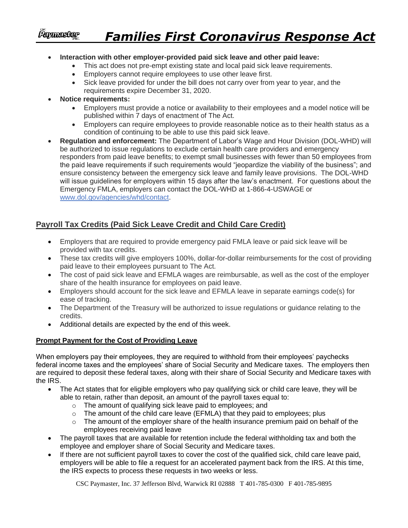#### Paymaster  *Families First Coronavirus Response Act*

- **Interaction with other employer-provided paid sick leave and other paid leave:**
	- This act does not pre-empt existing state and local paid sick leave requirements.
	- Employers cannot require employees to use other leave first.
	- Sick leave provided for under the bill does not carry over from year to year, and the requirements expire December 31, 2020.
- **Notice requirements:**
	- Employers must provide a notice or availability to their employees and a model notice will be published within 7 days of enactment of The Act.
	- Employers can require employees to provide reasonable notice as to their health status as a condition of continuing to be able to use this paid sick leave.
- **Regulation and enforcement:** The Department of Labor's Wage and Hour Division (DOL-WHD) will be authorized to issue regulations to exclude certain health care providers and emergency responders from paid leave benefits; to exempt small businesses with fewer than 50 employees from the paid leave requirements if such requirements would "jeopardize the viability of the business"; and ensure consistency between the emergency sick leave and family leave provisions. The DOL-WHD will issue guidelines for employers within 15 days after the law's enactment. For questions about the Emergency FMLA, employers can contact the DOL-WHD at 1-866-4-USWAGE or www.dol.gov/agencies/whd/contact.

# **Payroll Tax Credits (Paid Sick Leave Credit and Child Care Credit)**

- Employers that are required to provide emergency paid FMLA leave or paid sick leave will be provided with tax credits.
- These tax credits will give employers 100%, dollar-for-dollar reimbursements for the cost of providing paid leave to their employees pursuant to The Act.
- The cost of paid sick leave and EFMLA wages are reimbursable, as well as the cost of the employer share of the health insurance for employees on paid leave.
- Employers should account for the sick leave and EFMLA leave in separate earnings code(s) for ease of tracking.
- The Department of the Treasury will be authorized to issue regulations or guidance relating to the credits.
- Additional details are expected by the end of this week.

### **Prompt Payment for the Cost of Providing Leave**

When employers pay their employees, they are required to withhold from their employees' paychecks federal income taxes and the employees' share of Social Security and Medicare taxes. The employers then are required to deposit these federal taxes, along with their share of Social Security and Medicare taxes with the IRS.

- The Act states that for eligible employers who pay qualifying sick or child care leave, they will be able to retain, rather than deposit, an amount of the payroll taxes equal to:
	- o The amount of qualifying sick leave paid to employees; and
	- $\circ$  The amount of the child care leave (EFMLA) that they paid to employees; plus
	- o The amount of the employer share of the health insurance premium paid on behalf of the employees receiving paid leave
- The payroll taxes that are available for retention include the federal withholding tax and both the employee and employer share of Social Security and Medicare taxes.
- If there are not sufficient payroll taxes to cover the cost of the qualified sick, child care leave paid, employers will be able to file a request for an accelerated payment back from the IRS. At this time, the IRS expects to process these requests in two weeks or less.

CSC Paymaster, Inc. 37 Jefferson Blvd, Warwick RI 02888 T 401-785-0300 F 401-785-9895